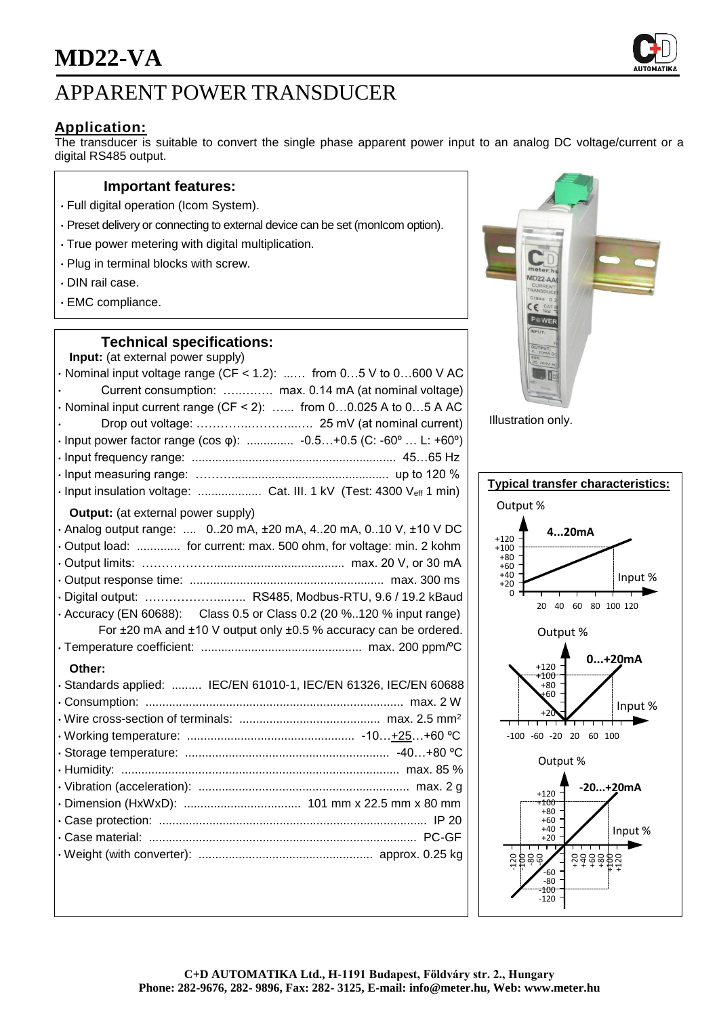

## APPARENT POWER TRANSDUCER

### **Application:**

The transducer is suitable to convert the single phase apparent power input to an analog DC voltage/current or a digital RS485 output.

### **Important features:**

- Full digital operation (Icom System).
- Preset delivery or connecting to external device can be set (monIcom option).
- True power metering with digital multiplication.
- Plug in terminal blocks with screw.
- DIN rail case.
- EMC compliance.

### **Technical specifications:**

| Input: (at external power supply)                                       |
|-------------------------------------------------------------------------|
| $\cdot$ Nominal input voltage range (CF < 1.2):  from 05 V to 0600 V AC |
| Current consumption:  max. 0.14 mA (at nominal voltage)                 |
| · Nominal input current range (CF < 2):  from 00.025 A to 05 A AC       |
|                                                                         |
| · Input power factor range (cos φ):  -0.5+0.5 (C: -60°  L: +60°)        |
|                                                                         |
|                                                                         |
| · Input insulation voltage:  Cat. III. 1 kV (Test: 4300 Veff 1 min)     |
| <b>Output:</b> (at external power supply)                               |
| . Analog output range:  020 mA, ±20 mA, 420 mA, 010 V, ±10 V DC         |
| · Output load:  for current: max. 500 ohm, for voltage: min. 2 kohm     |
|                                                                         |
|                                                                         |
| · Digital output:  RS485, Modbus-RTU, 9.6 / 19.2 kBaud                  |
| • Accuracy (EN 60688): Class 0.5 or Class 0.2 (20 %120 % input range)   |
| For ±20 mA and ±10 V output only ±0.5 % accuracy can be ordered.        |
|                                                                         |
| Other:                                                                  |
| · Standards applied:  IEC/EN 61010-1, IEC/EN 61326, IEC/EN 60688        |
|                                                                         |
|                                                                         |
|                                                                         |
|                                                                         |
|                                                                         |
|                                                                         |
|                                                                         |
|                                                                         |
|                                                                         |
|                                                                         |
|                                                                         |



Illustration only.